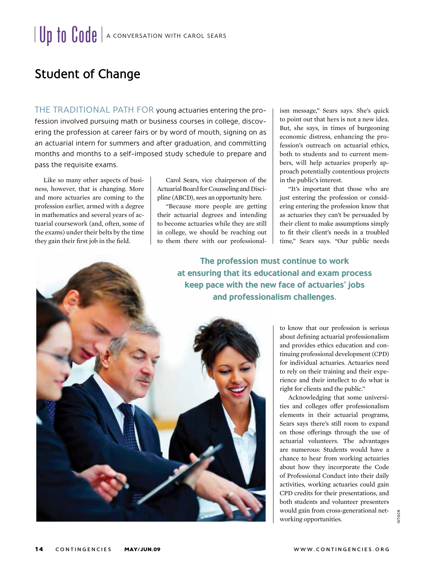## Student of Change

THE TRADITIONAL PATH FOR young actuaries entering the profession involved pursuing math or business courses in college, discovering the profession at career fairs or by word of mouth, signing on as an actuarial intern for summers and after graduation, and committing months and months to a self-imposed study schedule to prepare and pass the requisite exams.

Like so many other aspects of business, however, that is changing. More and more actuaries are coming to the profession earlier, armed with a degree in mathematics and several years of actuarial coursework (and, often, some of the exams) under their belts by the time they gain their first job in the field.

Carol Sears, vice chairperson of the Actuarial Board for Counseling and Discipline (ABCD), sees an opportunity here.

"Because more people are getting their actuarial degrees and intending to become actuaries while they are still in college, we should be reaching out to them there with our professional-

ism message," Sears says. She's quick to point out that hers is not a new idea. But, she says, in times of burgeoning economic distress, enhancing the profession's outreach on actuarial ethics, both to students and to current members, will help actuaries properly approach potentially contentious projects in the public's interest.

"It's important that those who are just entering the profession or considering entering the profession know that as actuaries they can't be persuaded by their client to make assumptions simply to fit their client's needs in a troubled time," Sears says. "Our public needs

**The profession must continue to work at ensuring that its educational and exam process keep pace with the new face of actuaries' jobs and professionalism challenges.** 



to know that our profession is serious about defining actuarial professionalism and provides ethics education and continuing professional development (CPD) for individual actuaries. Actuaries need to rely on their training and their experience and their intellect to do what is right for clients and the public."

Acknowledging that some universities and colleges offer professionalism elements in their actuarial programs, Sears says there's still room to expand on those offerings through the use of actuarial volunteers. The advantages are numerous: Students would have a chance to hear from working actuaries about how they incorporate the Code of Professional Conduct into their daily activities, working actuaries could gain CPD credits for their presentations, and both students and volunteer presenters would gain from cross-generational networking opportunities.